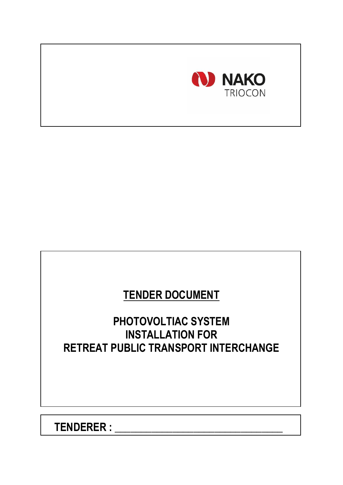

# **TENDER DOCUMENT**

# **PHOTOVOLTIAC SYSTEM INSTALLATION FOR RETREAT PUBLIC TRANSPORT INTERCHANGE**

**TENDERER : \_\_\_\_\_\_\_\_\_\_\_\_\_\_\_\_\_\_\_\_\_\_\_\_\_\_\_\_\_\_\_\_**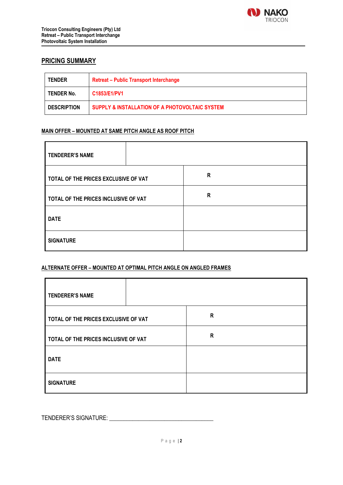

### **PRICING SUMMARY**

| <b>TENDER</b>      | <b>Retreat - Public Transport Interchange</b>  |  |
|--------------------|------------------------------------------------|--|
| TENDER No.         | C1853/E1/PV1                                   |  |
| <b>DESCRIPTION</b> | SUPPLY & INSTALLATION OF A PHOTOVOLTAIC SYSTEM |  |

#### **MAIN OFFER – MOUNTED AT SAME PITCH ANGLE AS ROOF PITCH**

| <b>TENDERER'S NAME</b>               |  |   |  |
|--------------------------------------|--|---|--|
| TOTAL OF THE PRICES EXCLUSIVE OF VAT |  | R |  |
| TOTAL OF THE PRICES INCLUSIVE OF VAT |  | R |  |
| <b>DATE</b>                          |  |   |  |
| <b>SIGNATURE</b>                     |  |   |  |

#### **ALTERNATE OFFER – MOUNTED AT OPTIMAL PITCH ANGLE ON ANGLED FRAMES**

| <b>TENDERER'S NAME</b>               |  |   |  |
|--------------------------------------|--|---|--|
| TOTAL OF THE PRICES EXCLUSIVE OF VAT |  | R |  |
| TOTAL OF THE PRICES INCLUSIVE OF VAT |  | R |  |
| <b>DATE</b>                          |  |   |  |
| <b>SIGNATURE</b>                     |  |   |  |

TENDERER'S SIGNATURE: \_\_\_\_\_\_\_\_\_\_\_\_\_\_\_\_\_\_\_\_\_\_\_\_\_\_\_\_\_\_\_\_\_\_\_\_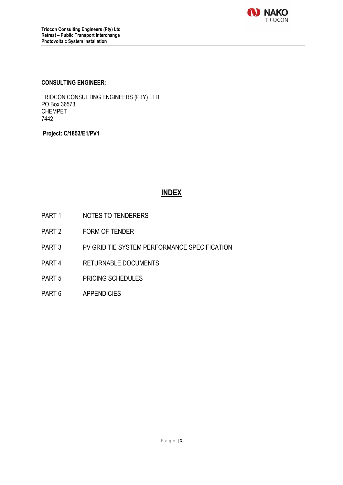

#### **CONSULTING ENGINEER:**

TRIOCON CONSULTING ENGINEERS (PTY) LTD PO Box 36573 CHEMPET 7442

**Project: C/1853/E1/PV1**

# **INDEX**

- PART 1 NOTES TO TENDERERS
- PART 2 FORM OF TENDER
- PART 3 PV GRID TIE SYSTEM PERFORMANCE SPECIFICATION
- PART 4 RETURNABLE DOCUMENTS
- PART 5 PRICING SCHEDULES
- PART 6 APPENDICIES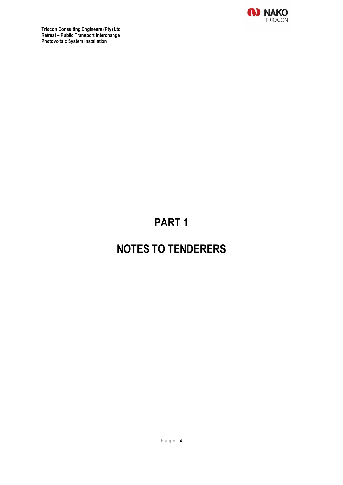

# **PART 1**

# **NOTES TO TENDERERS**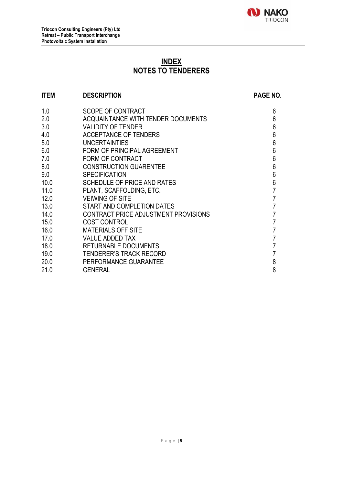

# **INDEX NOTES TO TENDERERS**

### **ITEM DESCRIPTION PAGE NO.** 1.0 SCOPE OF CONTRACT<br>
2.0 ACQUAINTANCE WITH TENDER DOCUMENTS 6 ACQUAINTANCE WITH TENDER DOCUMENTS 3.0 VALIDITY OF TENDER 6 4.0 ACCEPTANCE OF TENDERS 6<br>5.0 UNCERTAINTIES 6 5.0 UNCERTAINTIES<br>
6.0 FORM OF PRINCIPAL AGREEMENT<br>
6 6.0 FORM OF PRINCIPAL AGREEMENT 6 6 6 6 6 6 7.0 FORM OF CONTRACT The FORM OF CONTRACT State of the Second Second Second Second Second Second Second Second Second Second Second Second Second Second Second Second Second Second Second Second Second Second Second Second Second Second Second 8.0 CONSTRUCTION GUARENTEE 6<br>9.0 SPECIFICATION 6 9.0 SPECIFICATION 6

| 10.0 | SCHEDULE OF PRICE AND RATES          | 6 |
|------|--------------------------------------|---|
| 11.0 | PLANT, SCAFFOLDING, ETC.             |   |
| 12.0 | <b>VEIWING OF SITE</b>               |   |
| 13.0 | START AND COMPLETION DATES           |   |
| 14.0 | CONTRACT PRICE ADJUSTMENT PROVISIONS |   |
| 15.0 | <b>COST CONTROL</b>                  | 7 |
| 16.0 | <b>MATERIALS OFF SITE</b>            | 7 |
| 17.0 | <b>VALUE ADDED TAX</b>               |   |
| 18.0 | <b>RETURNABLE DOCUMENTS</b>          |   |
| 19.0 | <b>TENDERER'S TRACK RECORD</b>       |   |
| 20.0 | PERFORMANCE GUARANTEE                | 8 |
| 21.0 | GENERAL                              | 8 |

# 21.0 GENERAL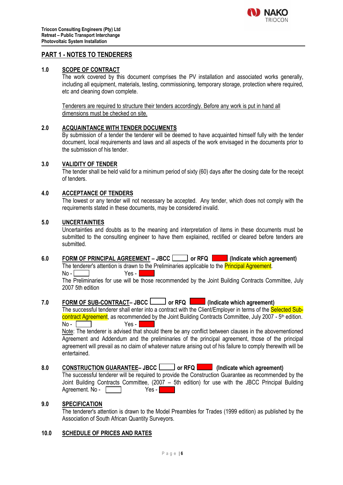

### **PART 1 - NOTES TO TENDERERS**

#### **1.0 SCOPE OF CONTRACT**

The work covered by this document comprises the PV installation and associated works generally, including all equipment, materials, testing, commissioning, temporary storage, protection where required, etc and cleaning down complete.

Tenderers are required to structure their tenders accordingly. Before any work is put in hand all dimensions must be checked on site.

#### **2.0 ACQUAINTANCE WITH TENDER DOCUMENTS**

By submission of a tender the tenderer will be deemed to have acquainted himself fully with the tender document, local requirements and laws and all aspects of the work envisaged in the documents prior to the submission of his tender.

#### **3.0 VALIDITY OF TENDER**

The tender shall be held valid for a minimum period of sixty (60) days after the closing date for the receipt of tenders.

#### **4.0 ACCEPTANCE OF TENDERS**

The lowest or any tender will not necessary be accepted. Any tender, which does not comply with the requirements stated in these documents, may be considered invalid.

#### **5.0 UNCERTAINTIES**

Uncertainties and doubts as to the meaning and interpretation of items in these documents must be submitted to the consulting engineer to have them explained, rectified or cleared before tenders are submitted.

**6.0 FORM OF PRINCIPAL AGREEMENT – JBCC** or RFQ **THE (Indicate which agreement)** 

The tenderer's attention is drawn to the Preliminaries applicable to the **Principal Agreement**.  $N_o$   $\sim$  Yes -

The Preliminaries for use will be those recommended by the Joint Building Contracts Committee, July 2007 5th edition

#### **7.0 FORM OF SUB-CONTRACT– JBCC or RFQ (Indicate which agreement)**

The successful tenderer shall enter into a contract with the Client/Employer in terms of the Selected Subcontract Agreement, as recommended by the Joint Building Contracts Committee, July 2007 - 5<sup>th</sup> edition.  $No - \Box$ 

Note: The tenderer is advised that should there be any conflict between clauses in the abovementioned Agreement and Addendum and the preliminaries of the principal agreement, those of the principal agreement will prevail as no claim of whatever nature arising out of his failure to comply therewith will be entertained.

#### **8.0 CONSTRUCTION GUARANTEE** – JBCC  $\Box$  or RFQ **indicate which agreement**)

The successful tenderer will be required to provide the Construction Guarantee as recommended by the Joint Building Contracts Committee, (2007 – 5th edition) for use with the JBCC Principal Building Agreement. No - The Yes -

#### **9.0 SPECIFICATION**

The tenderer's attention is drawn to the Model Preambles for Trades (1999 edition) as published by the Association of South African Quantity Surveyors.

#### **10.0 SCHEDULE OF PRICES AND RATES**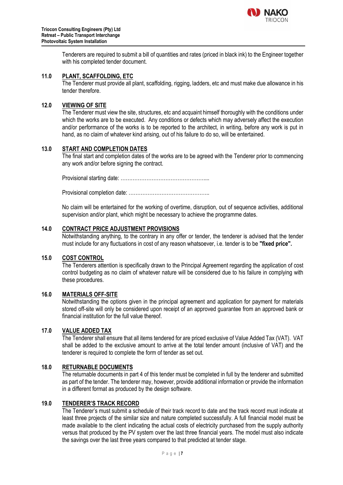

Tenderers are required to submit a bill of quantities and rates (priced in black ink) to the Engineer together with his completed tender document.

#### **11.0 PLANT, SCAFFOLDING, ETC**

The Tenderer must provide all plant, scaffolding, rigging, ladders, etc and must make due allowance in his tender therefore.

#### **12.0 VIEWING OF SITE**

The Tenderer must view the site, structures, etc and acquaint himself thoroughly with the conditions under which the works are to be executed. Any conditions or defects which may adversely affect the execution and/or performance of the works is to be reported to the architect, in writing, before any work is put in hand, as no claim of whatever kind arising, out of his failure to do so, will be entertained.

#### **13.0 START AND COMPLETION DATES**

The final start and completion dates of the works are to be agreed with the Tenderer prior to commencing any work and/or before signing the contract.

Provisional starting date: …………………………………………....

Provisional completion date: ………………………………………..

No claim will be entertained for the working of overtime, disruption, out of sequence activities, additional supervision and/or plant, which might be necessary to achieve the programme dates.

#### **14.0 CONTRACT PRICE ADJUSTMENT PROVISIONS**

Notwithstanding anything, to the contrary in any offer or tender, the tenderer is advised that the tender must include for any fluctuations in cost of any reason whatsoever, i.e. tender is to be **"fixed price".**

#### **15.0 COST CONTROL**

The Tenderers attention is specifically drawn to the Principal Agreement regarding the application of cost control budgeting as no claim of whatever nature will be considered due to his failure in complying with these procedures.

#### **16.0 MATERIALS OFF-SITE**

Notwithstanding the options given in the principal agreement and application for payment for materials stored off-site will only be considered upon receipt of an approved guarantee from an approved bank or financial institution for the full value thereof.

#### **17.0 VALUE ADDED TAX**

The Tenderer shall ensure that all items tendered for are priced exclusive of Value Added Tax (VAT). VAT shall be added to the exclusive amount to arrive at the total tender amount (inclusive of VAT) and the tenderer is required to complete the form of tender as set out.

#### **18.0 RETURNABLE DOCUMENTS**

The returnable documents in part 4 of this tender must be completed in full by the tenderer and submitted as part of the tender. The tenderer may, however, provide additional information or provide the information in a different format as produced by the design software.

#### **19.0 TENDERER'S TRACK RECORD**

The Tenderer's must submit a schedule of their track record to date and the track record must indicate at least three projects of the similar size and nature completed successfully. A full financial model must be made available to the client indicating the actual costs of electricity purchased from the supply authority versus that produced by the PV system over the last three financial years. The model must also indicate the savings over the last three years compared to that predicted at tender stage.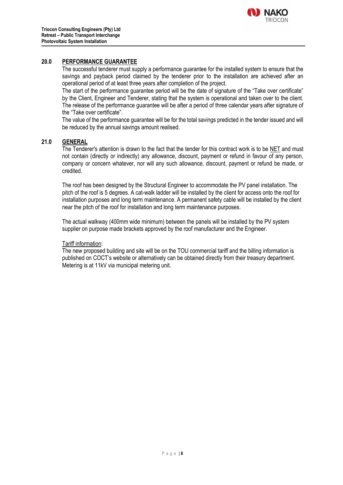

#### **20.0 PERFORMANCE GUARANTEE**

The successful tenderer must supply a performance guarantee for the installed system to ensure that the savings and payback period claimed by the tenderer prior to the installation are achieved after an operational period of at least three years after completion of the project.

The start of the performance guarantee period will be the date of signature of the "Take over certificate" by the Client, Engineer and Tenderer, stating that the system is operational and taken over to the client. The release of the performance guarantee will be after a period of three calendar years after signature of the "Take over certificate".

The value of the performance guarantee will be for the total savings predicted in the tender issued and will be reduced by the annual savings amount realised.

#### **21.0 GENERAL**

The Tenderer's attention is drawn to the fact that the tender for this contract work is to be NET and must not contain (directly or indirectly) any allowance, discount, payment or refund in favour of any person, company or concern whatever, nor will any such allowance, discount, payment or refund be made, or credited.

The roof has been designed by the Structural Engineer to accommodate the PV panel installation. The pitch of the roof is 5 degrees. A cat-walk ladder will be installed by the client for access onto the roof for installation purposes and long term maintenance. A permanent safety cable will be installed by the client near the pitch of the roof for installation and long term maintenance purposes.

The actual walkway (400mm wide minimum) between the panels will be installed by the PV system supplier on purpose made brackets approved by the roof manufacturer and the Engineer.

#### Tariff information:

The new proposed building and site will be on the TOU commercial tariff and the billing information is published on COCT's website or alternatively can be obtained directly from their treasury department. Metering is at 11kV via municipal metering unit.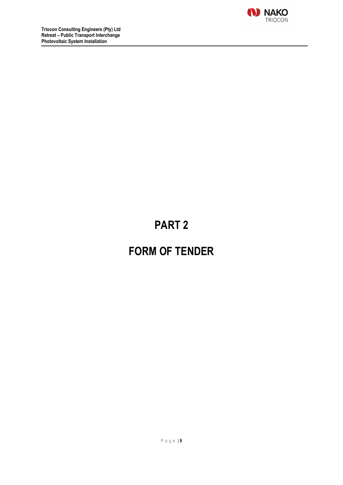

# **PART 2**

# **FORM OF TENDER**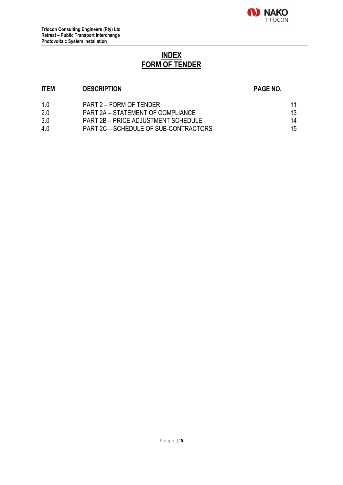

# **INDEX FORM OF TENDER**

### **ITEM DESCRIPTION PAGE NO.**

| 1 በ | PART 2 – FORM OF TENDER                    | 11 |
|-----|--------------------------------------------|----|
| 2.0 | PART 2A – STATEMENT OF COMPLIANCE          | 13 |
| 3.0 | <b>PART 2B – PRICE ADJUSTMENT SCHEDULE</b> | 14 |
| 4.0 | PART 2C – SCHEDULE OF SUB-CONTRACTORS      | 15 |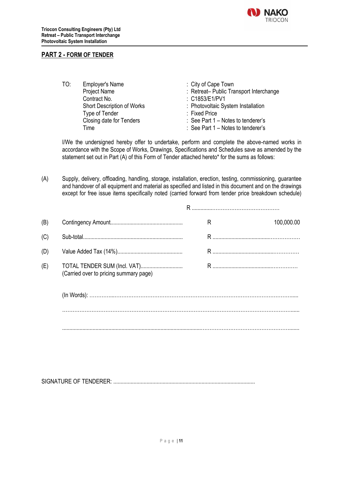

#### **PART 2 - FORM OF TENDER**

TO: Employer's Name : City of Cape Town Contract No. 2008 Contract No. Type of Tender

Project Name : Retreat– Public Transport Interchange Short Description of Works<br>
Type of Tender<br>
Type of Tender<br>
Short Description of Works<br>
Short Photovoltaic System Installation<br>
Tixed Price Closing date for Tenders : See Part 1 – Notes to tenderer's Time : See Part 1 – Notes to tenderer's

I/We the undersigned hereby offer to undertake, perform and complete the above-named works in accordance with the Scope of Works, Drawings, Specifications and Schedules save as amended by the statement set out in Part (A) of this Form of Tender attached hereto\* for the sums as follows:

(A) Supply, delivery, offloading, handling, storage, installation, erection, testing, commissioning, guarantee and handover of all equipment and material as specified and listed in this document and on the drawings except for free issue items specifically noted (carried forward from tender price breakdown schedule)

| (B) |                                                                        | R | 100,000.00 |
|-----|------------------------------------------------------------------------|---|------------|
| (C) |                                                                        |   |            |
| (D) |                                                                        |   |            |
| (E) | TOTAL TENDER SUM (Incl. VAT)<br>(Carried over to pricing summary page) |   |            |
|     |                                                                        |   |            |
|     |                                                                        |   |            |
|     |                                                                        |   |            |

SIGNATURE OF TENDERER: ..................................................................................................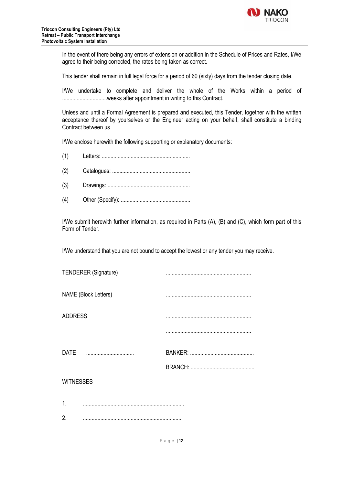

In the event of there being any errors of extension or addition in the Schedule of Prices and Rates, I/We agree to their being corrected, the rates being taken as correct.

This tender shall remain in full legal force for a period of 60 (sixty) days from the tender closing date.

I/We undertake to complete and deliver the whole of the Works within a period of ...............................weeks after appointment in writing to this Contract.

Unless and until a Formal Agreement is prepared and executed, this Tender, together with the written acceptance thereof by yourselves or the Engineer acting on your behalf, shall constitute a binding Contract between us.

I/We enclose herewith the following supporting or explanatory documents:

|--|--|

- (2) Catalogues: ......................................................
- (3) Drawings: .........................................................
- (4) Other (Specify): ................................................

I/We submit herewith further information, as required in Parts (A), (B) and (C), which form part of this Form of Tender.

I/We understand that you are not bound to accept the lowest or any tender you may receive.

|                  | <b>TENDERER (Signature)</b> |  |
|------------------|-----------------------------|--|
|                  | <b>NAME</b> (Block Letters) |  |
| <b>ADDRESS</b>   |                             |  |
|                  |                             |  |
|                  | DATE                        |  |
|                  |                             |  |
| <b>WITNESSES</b> |                             |  |
| 1.               |                             |  |
| $\mathbf{2}$     |                             |  |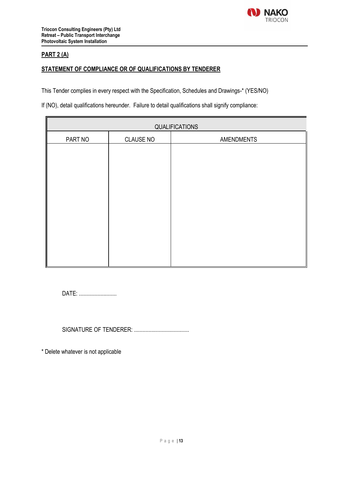

### **PART 2 (A)**

#### **STATEMENT OF COMPLIANCE OR OF QUALIFICATIONS BY TENDERER**

This Tender complies in every respect with the Specification, Schedules and Drawings-\* (YES/NO)

If (NO), detail qualifications hereunder. Failure to detail qualifications shall signify compliance:

| QUALIFICATIONS |                  |                   |  |  |
|----------------|------------------|-------------------|--|--|
| PART NO        | <b>CLAUSE NO</b> | <b>AMENDMENTS</b> |  |  |
|                |                  |                   |  |  |
|                |                  |                   |  |  |
|                |                  |                   |  |  |
|                |                  |                   |  |  |
|                |                  |                   |  |  |
|                |                  |                   |  |  |
|                |                  |                   |  |  |
|                |                  |                   |  |  |
|                |                  |                   |  |  |
|                |                  |                   |  |  |

DATE: ..........................

SIGNATURE OF TENDERER: ......................................

\* Delete whatever is not applicable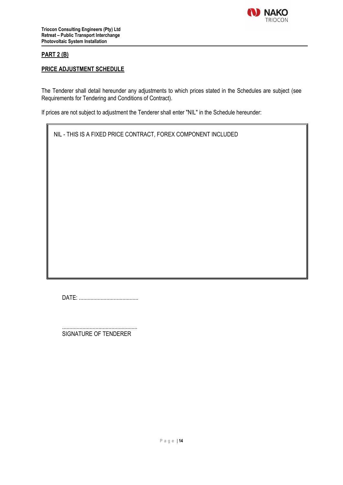

#### **PART 2 (B)**

#### **PRICE ADJUSTMENT SCHEDULE**

The Tenderer shall detail hereunder any adjustments to which prices stated in the Schedules are subject (see Requirements for Tendering and Conditions of Contract).

If prices are not subject to adjustment the Tenderer shall enter "NIL" in the Schedule hereunder:

NIL - THIS IS A FIXED PRICE CONTRACT, FOREX COMPONENT INCLUDED

DATE: .........................................

.................................................... SIGNATURE OF TENDERER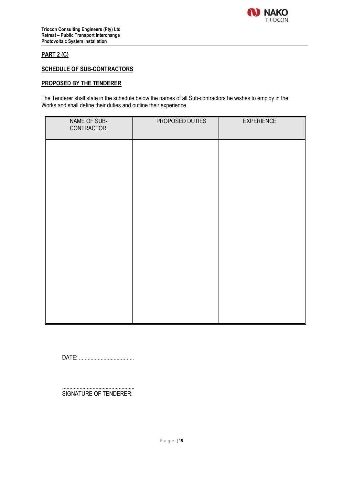

### **PART 2 (C)**

#### **SCHEDULE OF SUB-CONTRACTORS**

#### **PROPOSED BY THE TENDERER**

The Tenderer shall state in the schedule below the names of all Sub-contractors he wishes to employ in the Works and shall define their duties and outline their experience.

| NAME OF SUB-<br>CONTRACTOR | PROPOSED DUTIES | <b>EXPERIENCE</b> |
|----------------------------|-----------------|-------------------|
|                            |                 |                   |
|                            |                 |                   |
|                            |                 |                   |
|                            |                 |                   |
|                            |                 |                   |
|                            |                 |                   |
|                            |                 |                   |
|                            |                 |                   |

DATE: ......................................

.................................................. SIGNATURE OF TENDERER: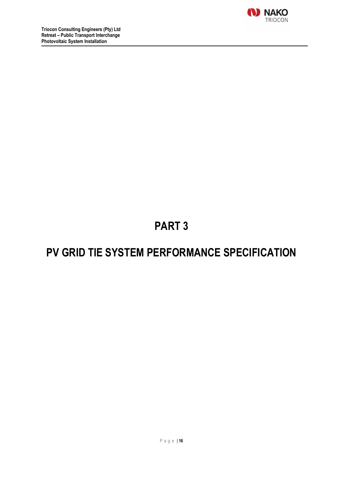

# **PART 3**

# **PV GRID TIE SYSTEM PERFORMANCE SPECIFICATION**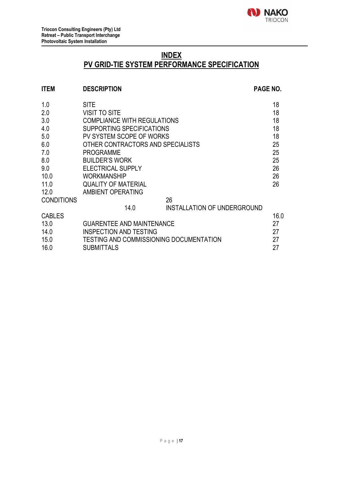### **INDEX**

# **PV GRID-TIE SYSTEM PERFORMANCE SPECIFICATION**

### **ITEM DESCRIPTION PAGE NO.** 1.0 SITE 18 2.0 VISIT TO SITE 18 3.0 COMPLIANCE WITH REGULATIONS 18 4.0 SUPPORTING SPECIFICATIONS 18 5.0 PV SYSTEM SCOPE OF WORKS 18 6.0 OTHER CONTRACTORS AND SPECIALISTS 25 7.0 PROGRAMME 25 8.0 BUILDER'S WORK 25<br>9.0 FLECTRICAL SUPPLY 26 9.0 **ELECTRICAL SUPPLY** 10.0 WORKMANSHIP 26 11.0 QUALITY OF MATERIAL 26 12.0 AMBIENT OPERATING CONDITIONS 26 14.0 INSTALLATION OF UNDERGROUND CABLES 16.0 13.0 GUARENTEE AND MAINTENANCE 27 14.0 INSPECTION AND TESTING **14.0** 27 15.0 TESTING AND COMMISSIONING DOCUMENTATION 27 16.0 SUBMITTALS 27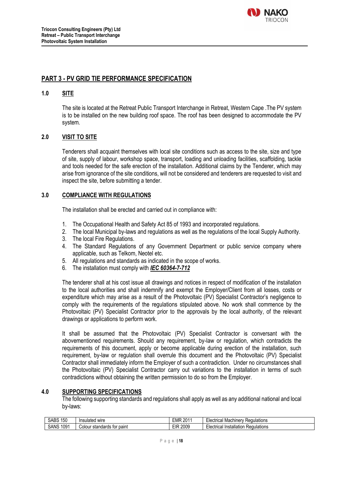

### **PART 3 - PV GRID TIE PERFORMANCE SPECIFICATION**

#### **1.0 SITE**

The site is located at the Retreat Public Transport Interchange in Retreat, Western Cape .The PV system is to be installed on the new building roof space. The roof has been designed to accommodate the PV system.

#### **2.0 VISIT TO SITE**

Tenderers shall acquaint themselves with local site conditions such as access to the site, size and type of site, supply of labour, workshop space, transport, loading and unloading facilities, scaffolding, tackle and tools needed for the safe erection of the installation. Additional claims by the Tenderer, which may arise from ignorance of the site conditions, will not be considered and tenderers are requested to visit and inspect the site, before submitting a tender.

#### **3.0 COMPLIANCE WITH REGULATIONS**

The installation shall be erected and carried out in compliance with:

- 1. The Occupational Health and Safety Act 85 of 1993 and incorporated regulations.
- 2. The local Municipal by-laws and regulations as well as the regulations of the local Supply Authority.
- 3. The local Fire Regulations.
- 4. The Standard Regulations of any Government Department or public service company where applicable, such as Telkom, Neotel etc.
- 5. All regulations and standards as indicated in the scope of works.
- 6. The installation must comply with *IEC 60364-7-712*

The tenderer shall at his cost issue all drawings and notices in respect of modification of the installation to the local authorities and shall indemnify and exempt the Employer/Client from all losses, costs or expenditure which may arise as a result of the Photovoltaic (PV) Specialist Contractor's negligence to comply with the requirements of the regulations stipulated above. No work shall commence by the Photovoltaic (PV) Specialist Contractor prior to the approvals by the local authority, of the relevant drawings or applications to perform work.

It shall be assumed that the Photovoltaic (PV) Specialist Contractor is conversant with the abovementioned requirements. Should any requirement, by-law or regulation, which contradicts the requirements of this document, apply or become applicable during erection of the installation, such requirement, by-law or regulation shall overrule this document and the Photovoltaic (PV) Specialist Contractor shall immediately inform the Employer of such a contradiction. Under no circumstances shall the Photovoltaic (PV) Specialist Contractor carry out variations to the installation in terms of such contradictions without obtaining the written permission to do so from the Employer.

#### **4.0 SUPPORTING SPECIFICATIONS**

The following supporting standards and regulations shall apply as well as any additional national and local by-laws:

| 150<br>$\sqrt{2}$<br>' من<br>. JDO | ılated<br>wire<br>Ine                   | 0044<br><b>EMP</b><br>$^{\prime\prime}$<br>-u | . Machiner<br>≺eɑulatıons<br>Llootrios'<br>RAM<br>รษแ<br>,uai |
|------------------------------------|-----------------------------------------|-----------------------------------------------|---------------------------------------------------------------|
| 1091<br><b>SANS</b>                | paint<br>ndards<br>tor<br>sta<br>Colour | 2009<br>пıп<br>. .                            | Installation<br>Regulations<br>antrinc<br>71 J I<br>wa        |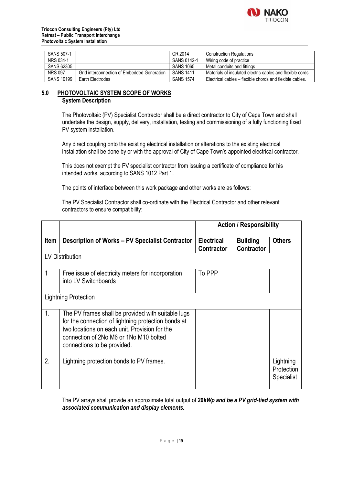

| SANS 507-1        |                                             | CR 2014          | <b>Construction Regulations</b>                           |
|-------------------|---------------------------------------------|------------------|-----------------------------------------------------------|
| NRS 034-1         |                                             | SANS 0142-1      | Wiring code of practice                                   |
| SANS 62305        |                                             | <b>SANS 1065</b> | Metal conduits and fittings                               |
| <b>NRS 097</b>    | Grid interconnection of Embedded Generation | <b>SANS 1411</b> | Materials of insulated electric cables and flexible cords |
| <b>SANS 10199</b> | Earth Electrodes                            | <b>SANS 1574</b> | Electrical cables – flexible chords and flexible cables.  |

#### **5.0 PHOTOVOLTAIC SYSTEM SCOPE OF WORKS System Description**

The Photovoltaic (PV) Specialist Contractor shall be a direct contractor to City of Cape Town and shall undertake the design, supply, delivery, installation, testing and commissioning of a fully functioning fixed PV system installation.

Any direct coupling onto the existing electrical installation or alterations to the existing electrical installation shall be done by or with the approval of City of Cape Town's appointed electrical contractor.

This does not exempt the PV specialist contractor from issuing a certificate of compliance for his intended works, according to SANS 1012 Part 1.

The points of interface between this work package and other works are as follows:

The PV Specialist Contractor shall co-ordinate with the Electrical Contractor and other relevant contractors to ensure compatibility:

|                  |                                                                                                                                                                                                                                     | <b>Action / Responsibility</b>  |                                      |                                       |
|------------------|-------------------------------------------------------------------------------------------------------------------------------------------------------------------------------------------------------------------------------------|---------------------------------|--------------------------------------|---------------------------------------|
| <b>Item</b>      | Description of Works – PV Specialist Contractor                                                                                                                                                                                     | <b>Electrical</b><br>Contractor | <b>Building</b><br><b>Contractor</b> | <b>Others</b>                         |
|                  | <b>LV Distribution</b>                                                                                                                                                                                                              |                                 |                                      |                                       |
| 1                | Free issue of electricity meters for incorporation<br>into LV Switchboards                                                                                                                                                          | To PPP                          |                                      |                                       |
|                  | <b>Lightning Protection</b>                                                                                                                                                                                                         |                                 |                                      |                                       |
| 1.               | The PV frames shall be provided with suitable lugs<br>for the connection of lightning protection bonds at<br>two locations on each unit. Provision for the<br>connection of 2No M6 or 1No M10 bolted<br>connections to be provided. |                                 |                                      |                                       |
| $\overline{2}$ . | Lightning protection bonds to PV frames.                                                                                                                                                                                            |                                 |                                      | Lightning<br>Protection<br>Specialist |

The PV arrays shall provide an approximate total output of **20***kWp and be a PV grid-tied system with associated communication and display elements.*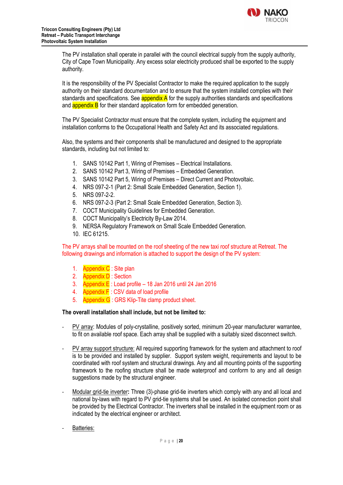

The PV installation shall operate in parallel with the council electrical supply from the supply authority, City of Cape Town Municipality. Any excess solar electricity produced shall be exported to the supply authority.

It is the responsibility of the PV Specialist Contractor to make the required application to the supply authority on their standard documentation and to ensure that the system installed complies with their standards and specifications. See **appendix A** for the supply authorities standards and specifications and **appendix B** for their standard application form for embedded generation.

The PV Specialist Contractor must ensure that the complete system, including the equipment and installation conforms to the Occupational Health and Safety Act and its associated regulations.

Also, the systems and their components shall be manufactured and designed to the appropriate standards, including but not limited to:

- 1. SANS 10142 Part 1, Wiring of Premises Electrical Installations.
- 2. SANS 10142 Part 3, Wiring of Premises Embedded Generation.
- 3. SANS 10142 Part 5, Wiring of Premises Direct Current and Photovoltaic.
- 4. NRS 097-2-1 (Part 2: Small Scale Embedded Generation, Section 1).
- 5. NRS 097-2-2.
- 6. NRS 097-2-3 (Part 2: Small Scale Embedded Generation, Section 3).
- 7. COCT Municipality Guidelines for Embedded Generation.
- 8. COCT Municipality's Electricity By-Law 2014.
- 9. NERSA Regulatory Framework on Small Scale Embedded Generation.
- 10. IEC 61215.

The PV arrays shall be mounted on the roof sheeting of the new taxi roof structure at Retreat. The following drawings and information is attached to support the design of the PV system:

- 1. Appendix C : Site plan
- 2. Appendix D : Section
- 3. Appendix E : Load profile 18 Jan 2016 until 24 Jan 2016
- 4. Appendix F : CSV data of load profile
- 5. Appendix G : GRS Klip-Tite clamp product sheet.

#### **The overall installation shall include, but not be limited to:**

- PV array: Modules of poly-crystalline, positively sorted, minimum 20-year manufacturer warrantee, to fit on available roof space. Each array shall be supplied with a suitably sized disconnect switch.
- PV array support structure: All required supporting framework for the system and attachment to roof is to be provided and installed by supplier. Support system weight, requirements and layout to be coordinated with roof system and structural drawings. Any and all mounting points of the supporting framework to the roofing structure shall be made waterproof and conform to any and all design suggestions made by the structural engineer.
- Modular grid-tie inverter**:** Three (3)-phase grid-tie inverters which comply with any and all local and national by-laws with regard to PV grid-tie systems shall be used. An isolated connection point shall be provided by the Electrical Contractor. The inverters shall be installed in the equipment room or as indicated by the electrical engineer or architect.
- Batteries: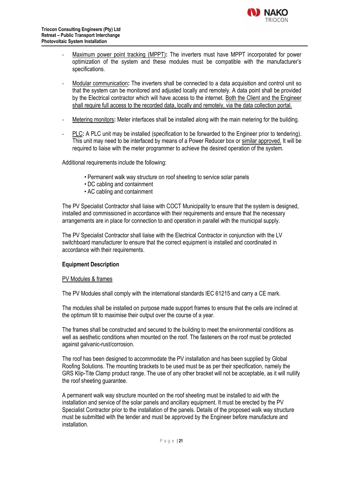

- Maximum power point tracking (MPPT)**:** The inverters must have MPPT incorporated for power optimization of the system and these modules must be compatible with the manufacturer's specifications.
- Modular communication**:** The inverters shall be connected to a data acquisition and control unit so that the system can be monitored and adjusted locally and remotely. A data point shall be provided by the Electrical contractor which will have access to the internet. Both the Client and the Engineer shall require full access to the recorded data, locally and remotely, via the data collection portal.
- Metering monitors**:** Meter interfaces shall be installed along with the main metering for the building.
- PLC**:** A PLC unit may be installed (specification to be forwarded to the Engineer prior to tendering). This unit may need to be interfaced by means of a Power Reducer box or similar approved. It will be required to liaise with the meter programmer to achieve the desired operation of the system.

Additional requirements include the following:

- Permanent walk way structure on roof sheeting to service solar panels
- DC cabling and containment
- AC cabling and containment

The PV Specialist Contractor shall liaise with COCT Municipality to ensure that the system is designed, installed and commissioned in accordance with their requirements and ensure that the necessary arrangements are in place for connection to and operation in parallel with the municipal supply.

The PV Specialist Contractor shall liaise with the Electrical Contractor in conjunction with the LV switchboard manufacturer to ensure that the correct equipment is installed and coordinated in accordance with their requirements.

#### **Equipment Description**

#### PV Modules & frames

The PV Modules shall comply with the international standards IEC 61215 and carry a CE mark.

The modules shall be installed on purpose made support frames to ensure that the cells are inclined at the optimum tilt to maximise their output over the course of a year.

The frames shall be constructed and secured to the building to meet the environmental conditions as well as aesthetic conditions when mounted on the roof. The fasteners on the roof must be protected against galvanic-rust/corrosion.

The roof has been designed to accommodate the PV installation and has been supplied by Global Roofing Solutions. The mounting brackets to be used must be as per their specification, namely the GRS Klip-Tite Clamp product range. The use of any other bracket will not be acceptable, as it will nullify the roof sheeting guarantee.

A permanent walk way structure mounted on the roof sheeting must be installed to aid with the installation and service of the solar panels and ancillary equipment. It must be erected by the PV Specialist Contractor prior to the installation of the panels. Details of the proposed walk way structure must be submitted with the tender and must be approved by the Engineer before manufacture and installation.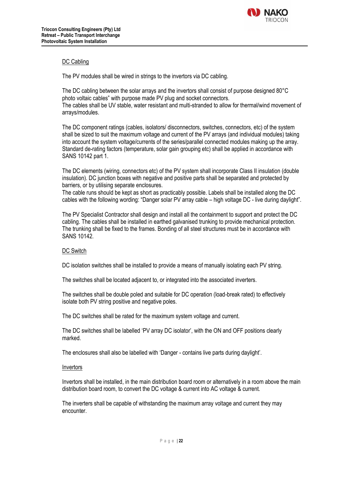

#### DC Cabling

The PV modules shall be wired in strings to the invertors via DC cabling.

The DC cabling between the solar arrays and the invertors shall consist of purpose designed 80°C photo voltaic cables" with purpose made PV plug and socket connectors. The cables shall be UV stable, water resistant and multi-stranded to allow for thermal/wind movement of arrays/modules.

The DC component ratings (cables, isolators/ disconnectors, switches, connectors, etc) of the system shall be sized to suit the maximum voltage and current of the PV arrays (and individual modules) taking into account the system voltage/currents of the series/parallel connected modules making up the array. Standard de-rating factors (temperature, solar gain grouping etc) shall be applied in accordance with SANS 10142 part 1.

The DC elements (wiring, connectors etc) of the PV system shall incorporate Class II insulation (double insulation). DC junction boxes with negative and positive parts shall be separated and protected by barriers, or by utilising separate enclosures.

The cable runs should be kept as short as practicably possible. Labels shall be installed along the DC cables with the following wording: "Danger solar PV array cable – high voltage DC - live during daylight".

The PV Specialist Contractor shall design and install all the containment to support and protect the DC cabling. The cables shall be installed in earthed galvanised trunking to provide mechanical protection. The trunking shall be fixed to the frames. Bonding of all steel structures must be in accordance with SANS 10142.

#### DC Switch

DC isolation switches shall be installed to provide a means of manually isolating each PV string.

The switches shall be located adjacent to, or integrated into the associated inverters.

The switches shall be double poled and suitable for DC operation (load-break rated) to effectively isolate both PV string positive and negative poles.

The DC switches shall be rated for the maximum system voltage and current.

The DC switches shall be labelled 'PV array DC isolator', with the ON and OFF positions clearly marked.

The enclosures shall also be labelled with 'Danger - contains live parts during daylight'.

#### Invertors

Invertors shall be installed, in the main distribution board room or alternatively in a room above the main distribution board room, to convert the DC voltage & current into AC voltage & current.

The inverters shall be capable of withstanding the maximum array voltage and current they may encounter.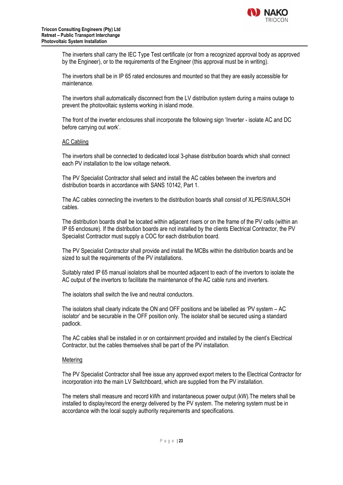

The inverters shall carry the IEC Type Test certificate (or from a recognized approval body as approved by the Engineer), or to the requirements of the Engineer (this approval must be in writing).

The invertors shall be in IP 65 rated enclosures and mounted so that they are easily accessible for maintenance.

The invertors shall automatically disconnect from the LV distribution system during a mains outage to prevent the photovoltaic systems working in island mode.

The front of the inverter enclosures shall incorporate the following sign 'Inverter - isolate AC and DC before carrying out work'.

#### AC Cabling

The invertors shall be connected to dedicated local 3-phase distribution boards which shall connect each PV installation to the low voltage network.

The PV Specialist Contractor shall select and install the AC cables between the invertors and distribution boards in accordance with SANS 10142, Part 1.

The AC cables connecting the inverters to the distribution boards shall consist of XLPE/SWA/LSOH cables.

The distribution boards shall be located within adjacent risers or on the frame of the PV cells (within an IP 65 enclosure). If the distribution boards are not installed by the clients Electrical Contractor, the PV Specialist Contractor must supply a COC for each distribution board.

The PV Specialist Contractor shall provide and install the MCBs within the distribution boards and be sized to suit the requirements of the PV installations.

Suitably rated IP 65 manual isolators shall be mounted adjacent to each of the invertors to isolate the AC output of the invertors to facilitate the maintenance of the AC cable runs and inverters.

The isolators shall switch the live and neutral conductors.

The isolators shall clearly indicate the ON and OFF positions and be labelled as 'PV system – AC isolator' and be securable in the OFF position only. The isolator shall be secured using a standard padlock.

The AC cables shall be installed in or on containment provided and installed by the client's Electrical Contractor, but the cables themselves shall be part of the PV installation.

#### Metering

The PV Specialist Contractor shall free issue any approved export meters to the Electrical Contractor for incorporation into the main LV Switchboard, which are supplied from the PV installation.

The meters shall measure and record kWh and instantaneous power output (kW).The meters shall be installed to display/record the energy delivered by the PV system. The metering system must be in accordance with the local supply authority requirements and specifications.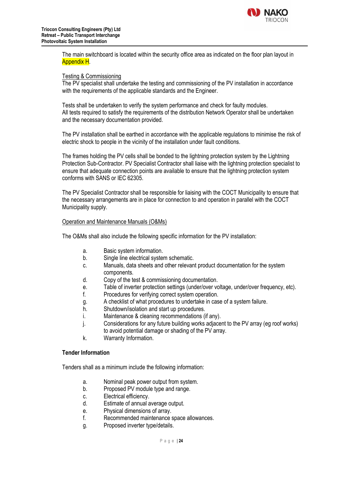

The main switchboard is located within the security office area as indicated on the floor plan layout in Appendix H.

#### Testing & Commissioning

The PV specialist shall undertake the testing and commissioning of the PV installation in accordance with the requirements of the applicable standards and the Engineer.

Tests shall be undertaken to verify the system performance and check for faulty modules. All tests required to satisfy the requirements of the distribution Network Operator shall be undertaken and the necessary documentation provided.

The PV installation shall be earthed in accordance with the applicable regulations to minimise the risk of electric shock to people in the vicinity of the installation under fault conditions.

The frames holding the PV cells shall be bonded to the lightning protection system by the Lightning Protection Sub-Contractor. PV Specialist Contractor shall liaise with the lightning protection specialist to ensure that adequate connection points are available to ensure that the lightning protection system conforms with SANS or IEC 62305.

The PV Specialist Contractor shall be responsible for liaising with the COCT Municipality to ensure that the necessary arrangements are in place for connection to and operation in parallel with the COCT Municipality supply.

#### Operation and Maintenance Manuals (O&Ms)

The O&Ms shall also include the following specific information for the PV installation:

- a. Basic system information.
- b. Single line electrical system schematic.
- c. Manuals, data sheets and other relevant product documentation for the system components.
- d. Copy of the test & commissioning documentation.
- e. Table of inverter protection settings (under/over voltage, under/over frequency, etc).
- f. Procedures for verifying correct system operation.
- g. A checklist of what procedures to undertake in case of a system failure.
- h. Shutdown/isolation and start up procedures.
- i. Maintenance & cleaning recommendations (if any).
- j. Considerations for any future building works adjacent to the PV array (eg roof works) to avoid potential damage or shading of the PV array.
- k. Warranty Information.

#### **Tender Information**

Tenders shall as a minimum include the following information:

- a. Nominal peak power output from system.
- b. Proposed PV module type and range.
- c. Electrical efficiency.
- d. Estimate of annual average output.
- e. Physical dimensions of array.
- f. Recommended maintenance space allowances.
- g. Proposed inverter type/details.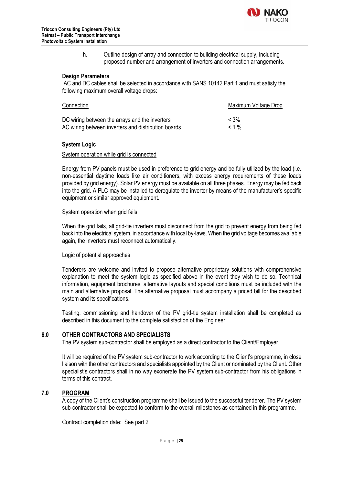

h. Outline design of array and connection to building electrical supply, including proposed number and arrangement of inverters and connection arrangements.

#### **Design Parameters**

AC and DC cables shall be selected in accordance with SANS 10142 Part 1 and must satisfy the following maximum overall voltage drops:

| Connection                                          | Maximum Voltage Drop |
|-----------------------------------------------------|----------------------|
| DC wiring between the arrays and the inverters      | $< 3\%$              |
| AC wiring between inverters and distribution boards | $< 1\%$              |

#### **System Logic**

#### System operation while grid is connected

Energy from PV panels must be used in preference to grid energy and be fully utilized by the load (i.e. non-essential daytime loads like air conditioners, with excess energy requirements of these loads provided by grid energy). Solar PV energy must be available on all three phases. Energy may be fed back into the grid. A PLC may be installed to deregulate the inverter by means of the manufacturer's specific equipment or similar approved equipment.

#### System operation when grid fails

When the grid fails, all grid-tie inverters must disconnect from the grid to prevent energy from being fed back into the electrical system, in accordance with local by-laws. When the grid voltage becomes available again, the inverters must reconnect automatically.

#### Logic of potential approaches

Tenderers are welcome and invited to propose alternative proprietary solutions with comprehensive explanation to meet the system logic as specified above in the event they wish to do so. Technical information, equipment brochures, alternative layouts and special conditions must be included with the main and alternative proposal. The alternative proposal must accompany a priced bill for the described system and its specifications.

Testing, commissioning and handover of the PV grid-tie system installation shall be completed as described in this document to the complete satisfaction of the Engineer.

#### **6.0 OTHER CONTRACTORS AND SPECIALISTS**

The PV system sub-contractor shall be employed as a direct contractor to the Client/Employer.

It will be required of the PV system sub-contractor to work according to the Client's programme, in close liaison with the other contractors and specialists appointed by the Client or nominated by the Client. Other specialist's contractors shall in no way exonerate the PV system sub-contractor from his obligations in terms of this contract.

#### **7.0 PROGRAM**

A copy of the Client's construction programme shall be issued to the successful tenderer. The PV system sub-contractor shall be expected to conform to the overall milestones as contained in this programme.

Contract completion date: See part 2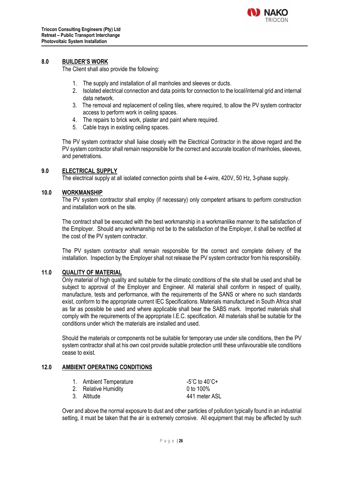

#### **8.0 BUILDER'S WORK**

The Client shall also provide the following:

- 1. The supply and installation of all manholes and sleeves or ducts.
- 2. Isolated electrical connection and data points for connection to the local/internal grid and internal data network.
- 3. The removal and replacement of ceiling tiles, where required, to allow the PV system contractor access to perform work in ceiling spaces.
- 4. The repairs to brick work, plaster and paint where required.
- 5. Cable trays in existing ceiling spaces.

The PV system contractor shall liaise closely with the Electrical Contractor in the above regard and the PV system contractor shall remain responsible for the correct and accurate location of manholes, sleeves, and penetrations.

#### **9.0 ELECTRICAL SUPPLY**

The electrical supply at all isolated connection points shall be 4-wire, 420V, 50 Hz, 3-phase supply.

#### **10.0 WORKMANSHIP**

The PV system contractor shall employ (if necessary) only competent artisans to perform construction and installation work on the site.

The contract shall be executed with the best workmanship in a workmanlike manner to the satisfaction of the Employer. Should any workmanship not be to the satisfaction of the Employer, it shall be rectified at the cost of the PV system contractor.

The PV system contractor shall remain responsible for the correct and complete delivery of the installation. Inspection by the Employer shall not release the PV system contractor from his responsibility.

#### **11.0 QUALITY OF MATERIAL**

Only material of high quality and suitable for the climatic conditions of the site shall be used and shall be subject to approval of the Employer and Engineer. All material shall conform in respect of quality, manufacture, tests and performance, with the requirements of the SANS or where no such standards exist, conform to the appropriate current IEC Specifications. Materials manufactured in South Africa shall as far as possible be used and where applicable shall bear the SABS mark. Imported materials shall comply with the requirements of the appropriate I.E.C. specification. All materials shall be suitable for the conditions under which the materials are installed and used.

Should the materials or components not be suitable for temporary use under site conditions, then the PV system contractor shall at his own cost provide suitable protection until these unfavourable site conditions cease to exist.

#### **12.0 AMBIENT OPERATING CONDITIONS**

| 1. Ambient Temperature | -5°C to 40°C+ |
|------------------------|---------------|
| 2. Relative Humidity   | 0 to $100\%$  |
| 3. Altitude            | 441 meter ASL |

Over and above the normal exposure to dust and other particles of pollution typically found in an industrial setting, it must be taken that the air is extremely corrosive. All equipment that may be affected by such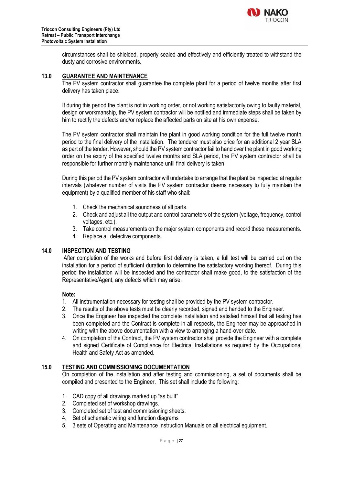

circumstances shall be shielded, properly sealed and effectively and efficiently treated to withstand the dusty and corrosive environments.

#### **13.0 GUARANTEE AND MAINTENANCE**

The PV system contractor shall guarantee the complete plant for a period of twelve months after first delivery has taken place.

If during this period the plant is not in working order, or not working satisfactorily owing to faulty material, design or workmanship, the PV system contractor will be notified and immediate steps shall be taken by him to rectify the defects and/or replace the affected parts on site at his own expense.

The PV system contractor shall maintain the plant in good working condition for the full twelve month period to the final delivery of the installation. The tenderer must also price for an additional 2 year SLA as part of the tender. However, should the PV system contractor fail to hand over the plant in good working order on the expiry of the specified twelve months and SLA period, the PV system contractor shall be responsible for further monthly maintenance until final delivery is taken.

During this period the PV system contractor will undertake to arrange that the plant be inspected at regular intervals (whatever number of visits the PV system contractor deems necessary to fully maintain the equipment) by a qualified member of his staff who shall:

- 1. Check the mechanical soundness of all parts.
- 2. Check and adjust all the output and control parameters of the system (voltage, frequency, control voltages, etc.).
- 3. Take control measurements on the major system components and record these measurements.
- 4. Replace all defective components.

#### **14.0 INSPECTION AND TESTING**

After completion of the works and before first delivery is taken, a full test will be carried out on the installation for a period of sufficient duration to determine the satisfactory working thereof. During this period the installation will be inspected and the contractor shall make good, to the satisfaction of the Representative/Agent, any defects which may arise.

#### **Note:**

- 1. All instrumentation necessary for testing shall be provided by the PV system contractor.
- 2. The results of the above tests must be clearly recorded, signed and handed to the Engineer.
- 3. Once the Engineer has inspected the complete installation and satisfied himself that all testing has been completed and the Contract is complete in all respects, the Engineer may be approached in writing with the above documentation with a view to arranging a hand-over date.
- 4. On completion of the Contract, the PV system contractor shall provide the Engineer with a complete and signed Certificate of Compliance for Electrical Installations as required by the Occupational Health and Safety Act as amended.

#### **15.0 TESTING AND COMMISSIONING DOCUMENTATION**

On completion of the installation and after testing and commissioning, a set of documents shall be compiled and presented to the Engineer. This set shall include the following:

- 1. CAD copy of all drawings marked up "as built"
- 2. Completed set of workshop drawings.
- 3. Completed set of test and commissioning sheets.
- 4. Set of schematic wiring and function diagrams
- 5. 3 sets of Operating and Maintenance Instruction Manuals on all electrical equipment.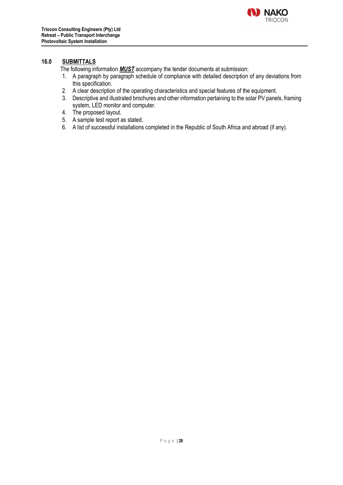

#### **16.0 SUBMITTALS**

The following information *MUST* accompany the tender documents at submission:

- 1. A paragraph by paragraph schedule of compliance with detailed description of any deviations from this specification.
- 2. A clear description of the operating characteristics and special features of the equipment.
- 3. Descriptive and illustrated brochures and other information pertaining to the solar PV panels, framing system, LED monitor and computer.
- 4. The proposed layout.
- 5. A sample test report as stated.
- 6. A list of successful installations completed in the Republic of South Africa and abroad (if any).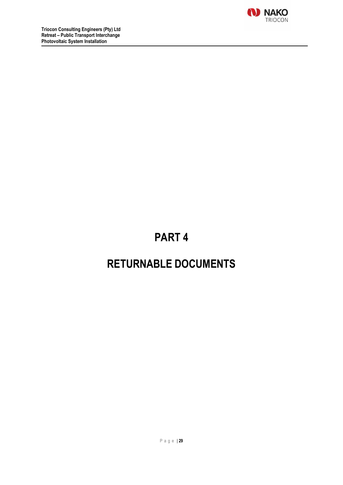

# **PART 4**

# **RETURNABLE DOCUMENTS**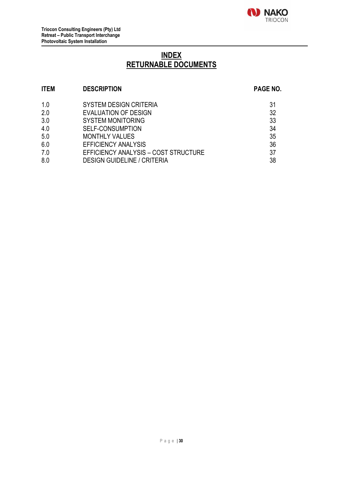

# **INDEX RETURNABLE DOCUMENTS**

# **ITEM DESCRIPTION PAGE NO.** 1.0 SYSTEM DESIGN CRITERIA<br>2.0 EVALUATION OF DESIGN 2.0 32 **EVALUATION OF DESIGN** 3.0 SYSTEM MONITORING 33 4.0 SELF-CONSUMPTION 34 5.0 MONTHLY VALUES 35 6.0 EFFICIENCY ANALYSIS 36 7.0 EFFICIENCY ANALYSIS – COST STRUCTURE 37

8.0 DESIGN GUIDELINE / CRITERIA 638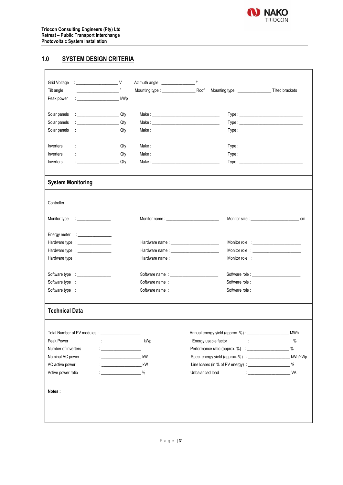

 $\mathbf{r}$ 

### **1.0 SYSTEM DESIGN CRITERIA**

| Grid Voltage                                                                                                                                                                                                                                         |                                                 |                      |                                                           |                                                                                                                                                                                                                                                                                                                                                  |
|------------------------------------------------------------------------------------------------------------------------------------------------------------------------------------------------------------------------------------------------------|-------------------------------------------------|----------------------|-----------------------------------------------------------|--------------------------------------------------------------------------------------------------------------------------------------------------------------------------------------------------------------------------------------------------------------------------------------------------------------------------------------------------|
| Tilt angle                                                                                                                                                                                                                                           |                                                 | Mounting type : Roof |                                                           |                                                                                                                                                                                                                                                                                                                                                  |
| Peak power<br>: _________________________________ kWp                                                                                                                                                                                                |                                                 |                      |                                                           |                                                                                                                                                                                                                                                                                                                                                  |
| Solar panels                                                                                                                                                                                                                                         |                                                 |                      |                                                           |                                                                                                                                                                                                                                                                                                                                                  |
| Solar panels<br><b>Carlos Carlos Caty</b>                                                                                                                                                                                                            |                                                 |                      |                                                           |                                                                                                                                                                                                                                                                                                                                                  |
| Solar panels                                                                                                                                                                                                                                         |                                                 |                      |                                                           |                                                                                                                                                                                                                                                                                                                                                  |
| Inverters<br><u>and the contract of the contract of the contract of the contract of the contract of the contract of the contra</u>                                                                                                                   |                                                 |                      |                                                           |                                                                                                                                                                                                                                                                                                                                                  |
| and the contract of the City of the City of the City of the City of the City of the City of the City of the City<br>Inverters                                                                                                                        |                                                 |                      |                                                           | Type:                                                                                                                                                                                                                                                                                                                                            |
| Inverters<br><u>Communication</u>                                                                                                                                                                                                                    |                                                 |                      |                                                           |                                                                                                                                                                                                                                                                                                                                                  |
| <b>System Monitoring</b>                                                                                                                                                                                                                             |                                                 |                      |                                                           |                                                                                                                                                                                                                                                                                                                                                  |
| Controller<br>the contract of the contract of the contract of the contract of the contract of                                                                                                                                                        |                                                 |                      |                                                           |                                                                                                                                                                                                                                                                                                                                                  |
| Monitor type<br><u>experimental property of the set of the set of the set of the set of the set of the set of the set of the set of the set of the set of the set of the set of the set of the set of the set of the set of the set of the set o</u> |                                                 |                      |                                                           | Monitor size: Note: Note: Note: Note: Note: Note: Note: Note: Note: Note: Note: Note: Note: Note: No<br>cm                                                                                                                                                                                                                                       |
| Energy meter : _________________                                                                                                                                                                                                                     |                                                 |                      |                                                           |                                                                                                                                                                                                                                                                                                                                                  |
| Hardware type : _________________                                                                                                                                                                                                                    |                                                 |                      | Hardware name: National Contract of the March 2014        |                                                                                                                                                                                                                                                                                                                                                  |
| Hardware type : __________________                                                                                                                                                                                                                   |                                                 |                      |                                                           |                                                                                                                                                                                                                                                                                                                                                  |
| Hardware type : __________________                                                                                                                                                                                                                   |                                                 |                      |                                                           |                                                                                                                                                                                                                                                                                                                                                  |
| Software type : _________________                                                                                                                                                                                                                    |                                                 |                      |                                                           |                                                                                                                                                                                                                                                                                                                                                  |
|                                                                                                                                                                                                                                                      |                                                 |                      |                                                           |                                                                                                                                                                                                                                                                                                                                                  |
| Software type : __________________                                                                                                                                                                                                                   |                                                 |                      |                                                           |                                                                                                                                                                                                                                                                                                                                                  |
| <b>Technical Data</b>                                                                                                                                                                                                                                |                                                 |                      |                                                           |                                                                                                                                                                                                                                                                                                                                                  |
|                                                                                                                                                                                                                                                      |                                                 |                      |                                                           | <b>MWh</b>                                                                                                                                                                                                                                                                                                                                       |
| Peak Power                                                                                                                                                                                                                                           | : ____________________________ kWp              |                      | Energy usable factor                                      | $\%$<br>$\begin{tabular}{l} \bf 1 & 0 & 0 & 0 & 0 \\ \bf 2 & 0 & 0 & 0 & 0 \\ \bf 3 & 0 & 0 & 0 & 0 \\ \bf 4 & 0 & 0 & 0 & 0 \\ \bf 5 & 0 & 0 & 0 & 0 \\ \bf 6 & 0 & 0 & 0 & 0 \\ \bf 7 & 0 & 0 & 0 & 0 \\ \bf 8 & 0 & 0 & 0 & 0 \\ \bf 9 & 0 & 0 & 0 & 0 \\ \bf 10 & 0 & 0 & 0 & 0 & 0 \\ \bf 11 & 0 & 0 & 0 & 0 & 0 \\ \bf 12 & 0 & 0 & 0 & 0$ |
| Number of inverters                                                                                                                                                                                                                                  | <u> 1999 - Johann Barbara, martin a</u>         |                      |                                                           | $\%$                                                                                                                                                                                                                                                                                                                                             |
| Nominal AC power                                                                                                                                                                                                                                     | <u> 1990 - Johann Barnett, fransk politiker</u> | kW                   |                                                           | kWh/kWp                                                                                                                                                                                                                                                                                                                                          |
| AC active power                                                                                                                                                                                                                                      | $\frac{1}{2}$ kW                                |                      | Line losses (in % of PV energy) : _____________________ % |                                                                                                                                                                                                                                                                                                                                                  |
| Active power ratio                                                                                                                                                                                                                                   | $\frac{1}{2}$ %                                 |                      | Unbalanced load                                           |                                                                                                                                                                                                                                                                                                                                                  |
| Notes:                                                                                                                                                                                                                                               |                                                 |                      |                                                           |                                                                                                                                                                                                                                                                                                                                                  |
|                                                                                                                                                                                                                                                      |                                                 |                      |                                                           |                                                                                                                                                                                                                                                                                                                                                  |
|                                                                                                                                                                                                                                                      |                                                 |                      |                                                           |                                                                                                                                                                                                                                                                                                                                                  |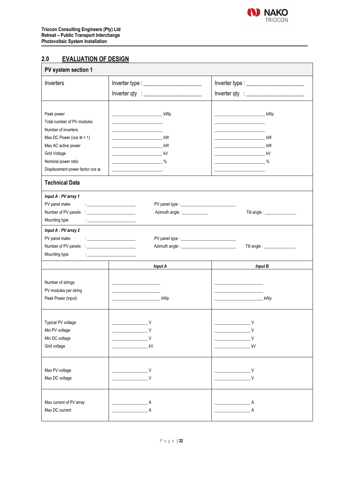

### **2.0 EVALUATION OF DESIGN**

| PV system section 1                                                                                  |                                                                                                                                                                                                                                                                                         |                                                     |  |  |  |
|------------------------------------------------------------------------------------------------------|-----------------------------------------------------------------------------------------------------------------------------------------------------------------------------------------------------------------------------------------------------------------------------------------|-----------------------------------------------------|--|--|--|
| Inverters                                                                                            | Inverter type : $\frac{1}{2}$ inverter type :                                                                                                                                                                                                                                           | Inverter type:                                      |  |  |  |
|                                                                                                      |                                                                                                                                                                                                                                                                                         |                                                     |  |  |  |
| Peak power<br>Total number of PV modules<br>Number of inverters<br>Max DC Power ( $cos \theta = 1$ ) | <b>EXAMPLE 2014</b> RWD                                                                                                                                                                                                                                                                 | <b>NOVEMBER 2019</b><br>kW                          |  |  |  |
| Max AC active power<br>Grid Voltage<br>Nominal power ratio<br>Displacement power factor cos @        | $\sim$ $\sim$                                                                                                                                                                                                                                                                           | <b>EXAMPLE 2014</b> RW                              |  |  |  |
| <b>Technical Data</b>                                                                                |                                                                                                                                                                                                                                                                                         |                                                     |  |  |  |
| Input A : PV array 1<br>PV panel make<br>Mounting type                                               | <b>Experience of the Community</b><br>Azimuth angle : _____________                                                                                                                                                                                                                     |                                                     |  |  |  |
| Input A : PV array 2<br>PV panel make<br>Mounting type                                               | <u> 1989 - Johann Stone, fransk politiker (</u><br><u>The company of the company of the company of the company of the company of the company of the company of the company of the company of the company of the company of the company of the company of the company of the company</u> | Tilt angle : __________________                     |  |  |  |
|                                                                                                      | <b>Input A</b>                                                                                                                                                                                                                                                                          | <b>Input B</b>                                      |  |  |  |
| Number of strings<br>PV modules per string<br>Peak Power (input)                                     | . kWp                                                                                                                                                                                                                                                                                   | kWp<br>the control of the control of the control of |  |  |  |
| Typical PV voltage<br>Min PV voltage<br>Min DC voltage<br>Grid voltage                               | V<br>$\vee$<br>V<br>kV                                                                                                                                                                                                                                                                  | V<br>$\vee$<br>V<br>kV                              |  |  |  |
| Max PV voltage<br>Max DC voltage                                                                     | V<br>V                                                                                                                                                                                                                                                                                  | – V<br>V                                            |  |  |  |
| Max current of PV array<br>Max DC current                                                            |                                                                                                                                                                                                                                                                                         |                                                     |  |  |  |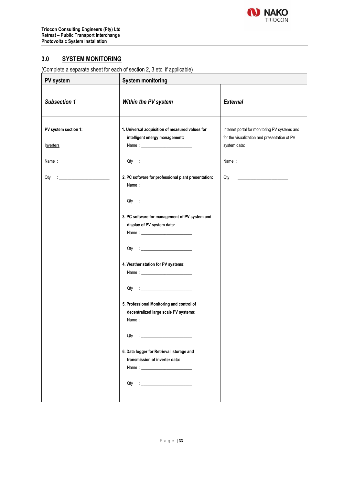

### **3.0 SYSTEM MONITORING**

(Complete a separate sheet for each of section 2, 3 etc. if applicable)

| PV system                         | <b>System monitoring</b>                                                                                                                                                                                                                                                                                                                                                                                                                                                                                                                                                                                                                                                                                     |                                                                                                               |  |  |
|-----------------------------------|--------------------------------------------------------------------------------------------------------------------------------------------------------------------------------------------------------------------------------------------------------------------------------------------------------------------------------------------------------------------------------------------------------------------------------------------------------------------------------------------------------------------------------------------------------------------------------------------------------------------------------------------------------------------------------------------------------------|---------------------------------------------------------------------------------------------------------------|--|--|
| <b>Subsection 1</b>               | Within the PV system                                                                                                                                                                                                                                                                                                                                                                                                                                                                                                                                                                                                                                                                                         | <b>External</b>                                                                                               |  |  |
| PV system section 1:<br>Inverters | 1. Universal acquisition of measured values for<br>intelligent energy management:                                                                                                                                                                                                                                                                                                                                                                                                                                                                                                                                                                                                                            | Internet portal for monitoring PV systems and<br>for the visualization and presentation of PV<br>system data: |  |  |
|                                   |                                                                                                                                                                                                                                                                                                                                                                                                                                                                                                                                                                                                                                                                                                              |                                                                                                               |  |  |
|                                   | 2. PC software for professional plant presentation:<br>$\begin{picture}(150,10) \put(0,0){\line(1,0){10}} \put(15,0){\line(1,0){10}} \put(15,0){\line(1,0){10}} \put(15,0){\line(1,0){10}} \put(15,0){\line(1,0){10}} \put(15,0){\line(1,0){10}} \put(15,0){\line(1,0){10}} \put(15,0){\line(1,0){10}} \put(15,0){\line(1,0){10}} \put(15,0){\line(1,0){10}} \put(15,0){\line(1,0){10}} \put(15,0){\line($<br>3. PC software for management of PV system and<br>display of PV system data:<br>4. Weather station for PV systems:<br>5. Professional Monitoring and control of<br>decentralized large scale PV systems:<br>Qty<br>6. Data logger for Retrieval, storage and<br>transmission of inverter data: |                                                                                                               |  |  |
|                                   |                                                                                                                                                                                                                                                                                                                                                                                                                                                                                                                                                                                                                                                                                                              |                                                                                                               |  |  |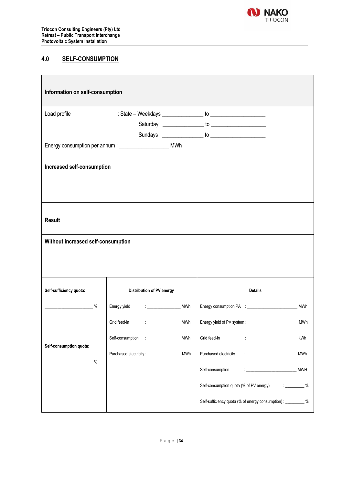

### **4.0 SELF-CONSUMPTION**

| Information on self-consumption    |                                                                             |                                                                          |
|------------------------------------|-----------------------------------------------------------------------------|--------------------------------------------------------------------------|
| Load profile                       |                                                                             |                                                                          |
|                                    |                                                                             |                                                                          |
|                                    |                                                                             |                                                                          |
|                                    | Energy consumption per annum : ______________________ MWh                   |                                                                          |
|                                    |                                                                             |                                                                          |
| Increased self-consumption         |                                                                             |                                                                          |
| <b>Result</b>                      |                                                                             |                                                                          |
| Without increased self-consumption |                                                                             |                                                                          |
| Self-sufficiency quota:            | Distribution of PV energy                                                   | <b>Details</b>                                                           |
| $\%$                               | Energy yield<br>the company of the com-<br>MWh                              | MWh                                                                      |
|                                    | Grid feed-in<br>$\mathcal{L}^{\text{max}}(\mathcal{L}^{\text{max}})$<br>MWh | <b>MWh</b>                                                               |
| Self-consumption quota:            | MWh<br>Self-consumption<br><b>Contract Contract</b>                         | Grid feed-in<br>kWh                                                      |
| $\%$                               | MWh                                                                         | <b>MWh</b><br>Purchased electricity                                      |
|                                    |                                                                             | Self-consumption<br><b>MWH</b><br>the control of the control of the con- |
|                                    |                                                                             | Self-consumption quota (% of PV energy)<br>$\sim$ $\%$                   |
|                                    |                                                                             | Self-sufficiency quota (% of energy consumption) : _________ %           |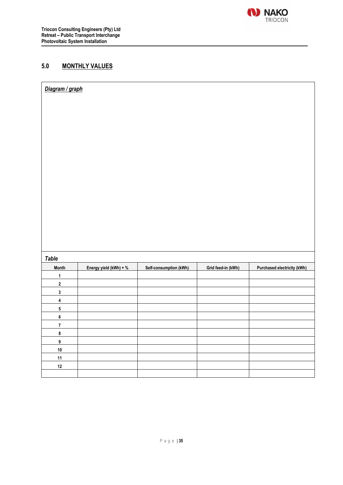

### **5.0 MONTHLY VALUES**

| Diagram / graph |  |  |
|-----------------|--|--|
|                 |  |  |
|                 |  |  |
|                 |  |  |
|                 |  |  |
|                 |  |  |
|                 |  |  |
|                 |  |  |
|                 |  |  |
|                 |  |  |
|                 |  |  |
|                 |  |  |
|                 |  |  |
|                 |  |  |
|                 |  |  |
|                 |  |  |

*Table*

| Month          | Energy yield (kWh) + % | Self-consumption (kWh) | Grid feed-in (kWh) | Purchased electricity (kWh) |
|----------------|------------------------|------------------------|--------------------|-----------------------------|
|                |                        |                        |                    |                             |
| $\overline{2}$ |                        |                        |                    |                             |
| 3              |                        |                        |                    |                             |
| 4              |                        |                        |                    |                             |
| 5              |                        |                        |                    |                             |
| 6              |                        |                        |                    |                             |
|                |                        |                        |                    |                             |
| 8              |                        |                        |                    |                             |
| 9              |                        |                        |                    |                             |
| 10             |                        |                        |                    |                             |
| 11             |                        |                        |                    |                             |
| 12             |                        |                        |                    |                             |
|                |                        |                        |                    |                             |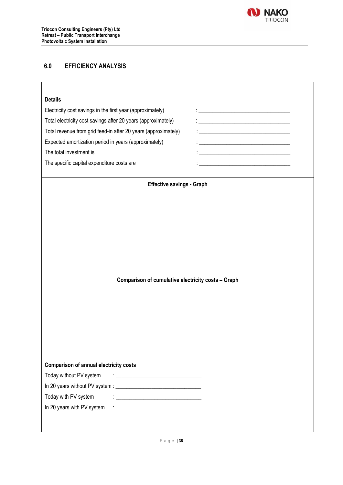

# **6.0 EFFICIENCY ANALYSIS**

| <b>Details</b>                                                       |                                                                                                                      |
|----------------------------------------------------------------------|----------------------------------------------------------------------------------------------------------------------|
| Electricity cost savings in the first year (approximately)           |                                                                                                                      |
| Total electricity cost savings after 20 years (approximately)        | <u> 1989 - Johann Barn, mars eta bainar eta baina eta baina eta baina eta baina eta baina eta baina eta baina e</u>  |
| Total revenue from grid feed-in after 20 years (approximately)       | <u> 1989 - Johann Barbara, martin amerikan basar dan berasal dalam basa dalam basar dalam basar dalam basa dalam</u> |
| Expected amortization period in years (approximately)                | <u> 1989 - Jan Samuel Barbara, margaret eta idazlea (h. 1982).</u>                                                   |
| The total investment is                                              |                                                                                                                      |
| The specific capital expenditure costs are                           |                                                                                                                      |
| <b>Effective savings - Graph</b>                                     |                                                                                                                      |
|                                                                      |                                                                                                                      |
|                                                                      |                                                                                                                      |
|                                                                      |                                                                                                                      |
|                                                                      |                                                                                                                      |
|                                                                      |                                                                                                                      |
|                                                                      |                                                                                                                      |
| Comparison of cumulative electricity costs - Graph                   |                                                                                                                      |
|                                                                      |                                                                                                                      |
|                                                                      |                                                                                                                      |
|                                                                      |                                                                                                                      |
|                                                                      |                                                                                                                      |
|                                                                      |                                                                                                                      |
|                                                                      |                                                                                                                      |
|                                                                      |                                                                                                                      |
| Today without PV system<br><u> : _______________________________</u> |                                                                                                                      |
| <b>Comparison of annual electricity costs</b>                        |                                                                                                                      |
| Today with PV system<br><u> 1989 - Johann Barn, mars ann an t-A</u>  |                                                                                                                      |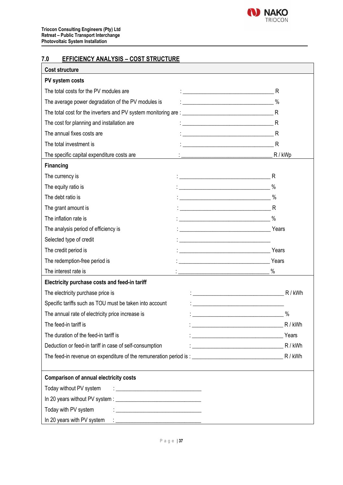

# **7.0 EFFICIENCY ANALYSIS – COST STRUCTURE**

| <b>Cost structure</b>                                                                                                                                                                                                                                     |                                                                                                                       |         |
|-----------------------------------------------------------------------------------------------------------------------------------------------------------------------------------------------------------------------------------------------------------|-----------------------------------------------------------------------------------------------------------------------|---------|
| PV system costs                                                                                                                                                                                                                                           |                                                                                                                       |         |
| The total costs for the PV modules are                                                                                                                                                                                                                    |                                                                                                                       |         |
| The average power degradation of the PV modules is                                                                                                                                                                                                        | $\overbrace{\hspace{2.5cm}}^{\textcolor{blue}{\sim}}$ $\hspace{2.5cm}$ $\%$                                           |         |
|                                                                                                                                                                                                                                                           |                                                                                                                       |         |
| The cost for planning and installation are                                                                                                                                                                                                                |                                                                                                                       |         |
| The annual fixes costs are                                                                                                                                                                                                                                |                                                                                                                       |         |
| The total investment is                                                                                                                                                                                                                                   |                                                                                                                       |         |
| The specific capital expenditure costs are                                                                                                                                                                                                                | <u> 1999 - Johann John Stein, fransk politiker (</u>                                                                  | R / kWp |
| <b>Financing</b>                                                                                                                                                                                                                                          |                                                                                                                       |         |
| The currency is                                                                                                                                                                                                                                           |                                                                                                                       |         |
| The equity ratio is                                                                                                                                                                                                                                       |                                                                                                                       |         |
| The debt ratio is                                                                                                                                                                                                                                         |                                                                                                                       |         |
| The grant amount is                                                                                                                                                                                                                                       |                                                                                                                       |         |
| The inflation rate is                                                                                                                                                                                                                                     |                                                                                                                       |         |
| The analysis period of efficiency is                                                                                                                                                                                                                      |                                                                                                                       |         |
| Selected type of credit                                                                                                                                                                                                                                   |                                                                                                                       |         |
| The credit period is                                                                                                                                                                                                                                      | <u> Alexandria de la contrada de la contrada de la contrada de la contrada de la contrada de la contrada de la c</u>  | Years   |
| The redemption-free period is                                                                                                                                                                                                                             |                                                                                                                       | Years   |
| The interest rate is                                                                                                                                                                                                                                      | $\%$                                                                                                                  |         |
| Electricity purchase costs and feed-in tariff                                                                                                                                                                                                             |                                                                                                                       |         |
| The electricity purchase price is                                                                                                                                                                                                                         |                                                                                                                       |         |
| Specific tariffs such as TOU must be taken into account                                                                                                                                                                                                   |                                                                                                                       |         |
| The annual rate of electricity price increase is                                                                                                                                                                                                          |                                                                                                                       | $\%$    |
| The feed-in tariff is                                                                                                                                                                                                                                     |                                                                                                                       | R / kWh |
| The duration of the feed-in tariff is                                                                                                                                                                                                                     | <u> 1989 - Johann John Stone, meil in der Stone besteht der Stone besteht der Stone besteht der Stone besteht der</u> | Years   |
| Deduction or feed-in tariff in case of self-consumption                                                                                                                                                                                                   |                                                                                                                       | R / kWh |
|                                                                                                                                                                                                                                                           |                                                                                                                       |         |
| <b>Comparison of annual electricity costs</b>                                                                                                                                                                                                             |                                                                                                                       |         |
| Today without PV system<br><u> 1986 - Johann Barbara, martin amerikan basar dan basa dan basar dalam basa dalam basa dalam basa dalam basa </u>                                                                                                           |                                                                                                                       |         |
|                                                                                                                                                                                                                                                           |                                                                                                                       |         |
| Today with PV system<br>$\frac{1}{2}$ . The contract of the contract of the contract of the contract of the contract of the contract of the contract of the contract of the contract of the contract of the contract of the contract of the contract of t |                                                                                                                       |         |
| In 20 years with PV system                                                                                                                                                                                                                                |                                                                                                                       |         |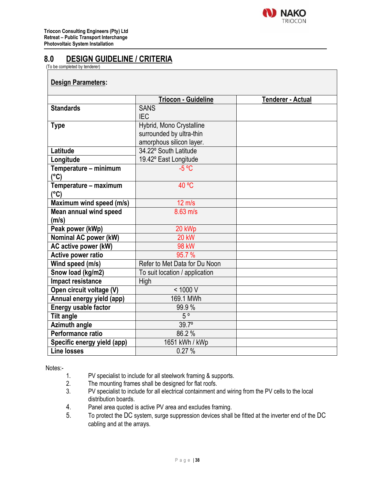

# **8.0 DESIGN GUIDELINE / CRITERIA**

(To be completed by tenderer)

#### **Design Parameters:**

|                             | <b>Triocon - Guideline</b>     | <b>Tenderer - Actual</b> |
|-----------------------------|--------------------------------|--------------------------|
| <b>Standards</b>            | <b>SANS</b>                    |                          |
|                             | <b>IEC</b>                     |                          |
| <b>Type</b>                 | Hybrid, Mono Crystalline       |                          |
|                             | surrounded by ultra-thin       |                          |
|                             | amorphous silicon layer.       |                          |
| Latitude                    | 34.22° South Latitude          |                          |
| Longitude                   | 19.42° East Longitude          |                          |
| Temperature - minimum       | $-5$ °C                        |                          |
| $(^{\circ}C)$               |                                |                          |
| Temperature - maximum       | 40 °C                          |                          |
| (°C)                        |                                |                          |
| Maximum wind speed (m/s)    | $12 \text{ m/s}$               |                          |
| Mean annual wind speed      | $8.63$ m/s                     |                          |
| (m/s)                       |                                |                          |
| Peak power (kWp)            | 20 kWp                         |                          |
| Nominal AC power (kW)       | <b>20 kW</b>                   |                          |
| AC active power (kW)        | <b>98 kW</b>                   |                          |
| Active power ratio          | 95.7%                          |                          |
| Wind speed (m/s)            | Refer to Met Data for Du Noon  |                          |
| Snow load (kg/m2)           | To suit location / application |                          |
| Impact resistance           | <b>High</b>                    |                          |
| Open circuit voltage (V)    | < 1000 V                       |                          |
| Annual energy yield (app)   | 169.1 MWh                      |                          |
| Energy usable factor        | 99.9%                          |                          |
| <b>Tilt angle</b>           | $5^{\circ}$                    |                          |
| <b>Azimuth angle</b>        | $39.7^\circ$                   |                          |
| Performance ratio           | 86.2%                          |                          |
| Specific energy yield (app) | 1651 kWh / kWp                 |                          |
| <b>Line losses</b>          | 0.27%                          |                          |

Notes:-

- 1. PV specialist to include for all steelwork framing & supports.
- 2. The mounting frames shall be designed for flat roofs.<br>3. PV specialist to include for all electrical containment a
- PV specialist to include for all electrical containment and wiring from the PV cells to the local distribution boards.
- 4. Panel area quoted is active PV area and excludes framing.
- 5. To protect the DC system, surge suppression devices shall be fitted at the inverter end of the DC cabling and at the arrays.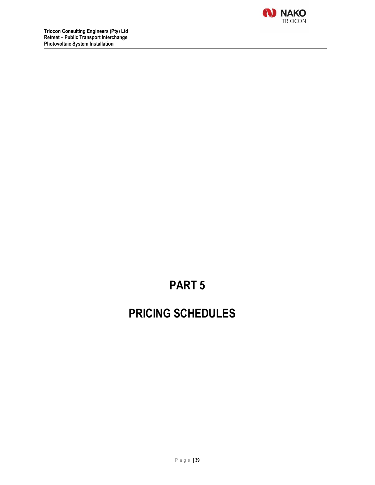

# **PART 5**

# **PRICING SCHEDULES**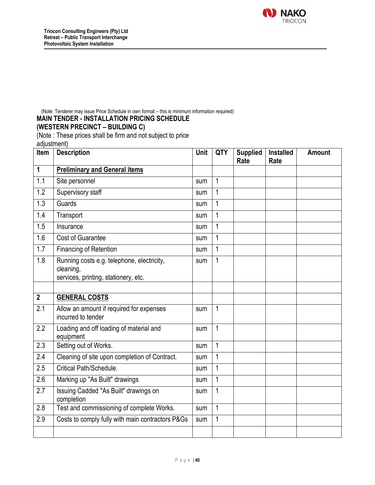

(Note: Tenderer may issue Price Schedule in own format – this is minimum information required)

#### **MAIN TENDER - INSTALLATION PRICING SCHEDULE**

### **(WESTERN PRECINCT – BUILDING C)**

(Note : These prices shall be firm and not subject to price

adjustment)

| Item             | <b>Description</b>                                                                              | Unit | QTY            | <b>Supplied</b><br>Rate | <b>Installed</b><br>Rate | <b>Amount</b> |
|------------------|-------------------------------------------------------------------------------------------------|------|----------------|-------------------------|--------------------------|---------------|
| $\mathbf{1}$     | <b>Preliminary and General items</b>                                                            |      |                |                         |                          |               |
| 1.1              | Site personnel                                                                                  | sum  | $\mathbf{1}$   |                         |                          |               |
| 1.2              | Supervisory staff                                                                               | sum  | $\mathbf{1}$   |                         |                          |               |
| 1.3              | Guards                                                                                          | sum  | $\mathbf 1$    |                         |                          |               |
| 1.4              | Transport                                                                                       | sum  | $\mathbf 1$    |                         |                          |               |
| 1.5              | Insurance                                                                                       | sum  | $\mathbf{1}$   |                         |                          |               |
| 1.6              | <b>Cost of Guarantee</b>                                                                        | sum  | $\mathbf{1}$   |                         |                          |               |
| 1.7              | <b>Financing of Retention</b>                                                                   | sum  | $\mathbf{1}$   |                         |                          |               |
| 1.8              | Running costs e.g. telephone, electricity,<br>cleaning,<br>services, printing, stationery, etc. | sum  | $\overline{1}$ |                         |                          |               |
|                  |                                                                                                 |      |                |                         |                          |               |
| $\overline{2}$   | <b>GENERAL COSTS</b>                                                                            |      |                |                         |                          |               |
| 2.1              | Allow an amount if required for expenses<br>incurred to tender                                  | sum  | $\mathbf{1}$   |                         |                          |               |
| 2.2              | Loading and off loading of material and<br>equipment                                            | sum  | $\mathbf{1}$   |                         |                          |               |
| $\overline{2.3}$ | Setting out of Works.                                                                           | sum  | $\mathbf{1}$   |                         |                          |               |
| $\overline{2.4}$ | Cleaning of site upon completion of Contract.                                                   | sum  | $\overline{1}$ |                         |                          |               |
| 2.5              | Critical Path/Schedule.                                                                         | sum  | $\mathbf{1}$   |                         |                          |               |
| $\overline{2.6}$ | Marking up "As Built" drawings                                                                  | sum  | $\mathbf{1}$   |                         |                          |               |
| 2.7              | Issuing Cadded "As Built" drawings on<br>completion                                             | sum  | $\mathbf{1}$   |                         |                          |               |
| 2.8              | Test and commissioning of complete Works.                                                       | sum  | $\overline{1}$ |                         |                          |               |
| 2.9              | Costs to comply fully with main contractors P&Gs                                                | sum  | $\mathbf{1}$   |                         |                          |               |
|                  |                                                                                                 |      |                |                         |                          |               |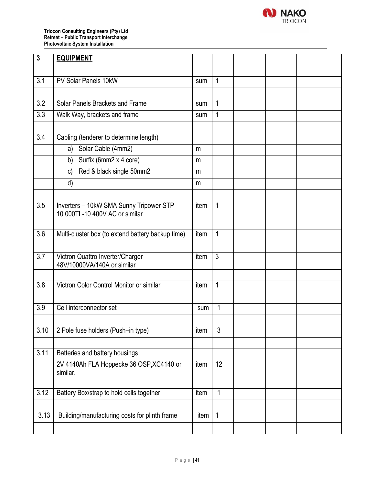

**Triocon Consulting Engineers (Pty) Ltd Retreat – Public Transport Interchange Photovoltaic System Installation**

| $\mathbf{3}$     | <b>EQUIPMENT</b>                                                          |      |                |  |  |
|------------------|---------------------------------------------------------------------------|------|----------------|--|--|
|                  |                                                                           |      |                |  |  |
| 3.1              | PV Solar Panels 10kW                                                      | sum  | 1              |  |  |
|                  |                                                                           |      |                |  |  |
| 3.2              | Solar Panels Brackets and Frame                                           | sum  | 1              |  |  |
| 3.3              | Walk Way, brackets and frame                                              | sum  | 1              |  |  |
|                  |                                                                           |      |                |  |  |
| 3.4              | Cabling (tenderer to determine length)                                    |      |                |  |  |
|                  | Solar Cable (4mm2)<br>a)                                                  | m    |                |  |  |
|                  | b) Surfix (6mm2 x 4 core)                                                 | m    |                |  |  |
|                  | Red & black single 50mm2<br>c)                                            | m    |                |  |  |
|                  | d)                                                                        | m    |                |  |  |
|                  |                                                                           |      |                |  |  |
| 3.5              | Inverters - 10kW SMA Sunny Tripower STP<br>10 000TL-10 400V AC or similar | item | $\mathbf{1}$   |  |  |
|                  |                                                                           |      |                |  |  |
| 3.6              | Multi-cluster box (to extend battery backup time)                         | item | $\mathbf{1}$   |  |  |
|                  |                                                                           |      |                |  |  |
| $\overline{3.7}$ | Victron Quattro Inverter/Charger<br>48V/10000VA/140A or similar           | item | $\mathfrak{Z}$ |  |  |
|                  |                                                                           |      |                |  |  |
| 3.8              | Victron Color Control Monitor or similar                                  | item | $\mathbf{1}$   |  |  |
|                  |                                                                           |      |                |  |  |
| 3.9              | Cell interconnector set                                                   | sum  | 1              |  |  |
|                  |                                                                           |      |                |  |  |
| 3.10             | 2 Pole fuse holders (Push-in type)                                        | item | 3              |  |  |
|                  |                                                                           |      |                |  |  |
| 3.11             | Batteries and battery housings                                            |      |                |  |  |
|                  | 2V 4140Ah FLA Hoppecke 36 OSP, XC4140 or<br>similar.                      | item | 12             |  |  |
|                  |                                                                           |      |                |  |  |
| 3.12             | Battery Box/strap to hold cells together                                  | item | $\mathbf{1}$   |  |  |
|                  |                                                                           |      |                |  |  |
| 3.13             | Building/manufacturing costs for plinth frame                             | item | $\overline{1}$ |  |  |
|                  |                                                                           |      |                |  |  |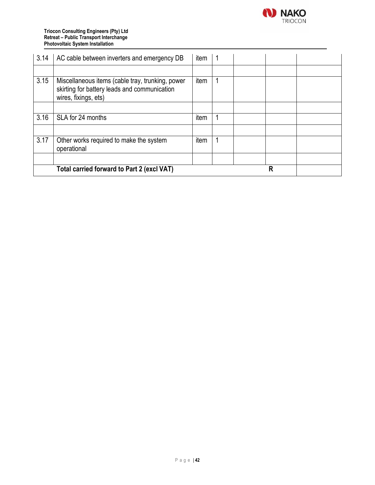

#### **Triocon Consulting Engineers (Pty) Ltd Retreat – Public Transport Interchange Photovoltaic System Installation**

| 3.14 | AC cable between inverters and emergency DB                                                                              | item |  |   |  |
|------|--------------------------------------------------------------------------------------------------------------------------|------|--|---|--|
|      |                                                                                                                          |      |  |   |  |
| 3.15 | Miscellaneous items (cable tray, trunking, power<br>skirting for battery leads and communication<br>wires, fixings, ets) | item |  |   |  |
|      |                                                                                                                          |      |  |   |  |
| 3.16 | SLA for 24 months                                                                                                        | item |  |   |  |
|      |                                                                                                                          |      |  |   |  |
| 3.17 | Other works required to make the system<br>operational                                                                   | item |  |   |  |
|      |                                                                                                                          |      |  |   |  |
|      | Total carried forward to Part 2 (excl VAT)                                                                               |      |  | R |  |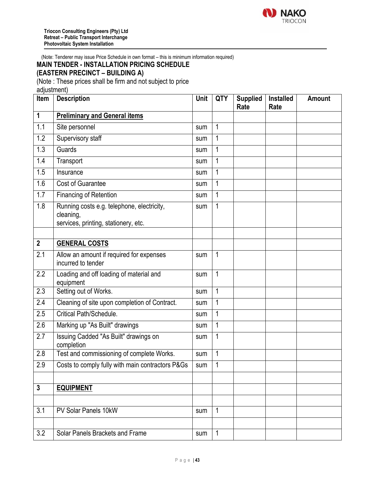

(Note: Tenderer may issue Price Schedule in own format – this is minimum information required)

# **MAIN TENDER - INSTALLATION PRICING SCHEDULE**

## **(EASTERN PRECINCT – BUILDING A)**

(Note : These prices shall be firm and not subject to price

adjustment)

| Item             | <b>Description</b>                                             | Unit | <b>QTY</b>   | <b>Supplied</b><br>Rate | <b>Installed</b><br>Rate | <b>Amount</b> |
|------------------|----------------------------------------------------------------|------|--------------|-------------------------|--------------------------|---------------|
| $\mathbf 1$      | <b>Preliminary and General items</b>                           |      |              |                         |                          |               |
| 1.1              | Site personnel                                                 | sum  | 1            |                         |                          |               |
| 1.2              | Supervisory staff                                              | sum  | $\mathbf{1}$ |                         |                          |               |
| $\overline{1.3}$ | Guards                                                         | sum  | 1            |                         |                          |               |
| 1.4              | Transport                                                      | sum  | $\mathbf{1}$ |                         |                          |               |
| 1.5              | Insurance                                                      | sum  | 1            |                         |                          |               |
| 1.6              | <b>Cost of Guarantee</b>                                       | sum  | $\mathbf{1}$ |                         |                          |               |
| 1.7              | Financing of Retention                                         | sum  | 1            |                         |                          |               |
| 1.8              | Running costs e.g. telephone, electricity,                     | sum  | $\mathbf{1}$ |                         |                          |               |
|                  | cleaning,<br>services, printing, stationery, etc.              |      |              |                         |                          |               |
|                  |                                                                |      |              |                         |                          |               |
| $\overline{2}$   | <b>GENERAL COSTS</b>                                           |      |              |                         |                          |               |
| 2.1              | Allow an amount if required for expenses<br>incurred to tender | sum  | 1            |                         |                          |               |
| 2.2              | Loading and off loading of material and<br>equipment           | sum  | $\mathbf{1}$ |                         |                          |               |
| 2.3              | Setting out of Works.                                          | sum  | $\mathbf{1}$ |                         |                          |               |
| 2.4              | Cleaning of site upon completion of Contract.                  | sum  | $\mathbf{1}$ |                         |                          |               |
| 2.5              | Critical Path/Schedule.                                        | sum  | $\mathbf{1}$ |                         |                          |               |
| 2.6              | Marking up "As Built" drawings                                 | sum  | 1            |                         |                          |               |
| 2.7              | Issuing Cadded "As Built" drawings on<br>completion            | sum  | $\mathbf{1}$ |                         |                          |               |
| 2.8              | Test and commissioning of complete Works.                      | sum  | $\mathbf{1}$ |                         |                          |               |
| 2.9              | Costs to comply fully with main contractors P&Gs               | sum  | 1            |                         |                          |               |
|                  |                                                                |      |              |                         |                          |               |
| $\mathbf{3}$     | <b>EQUIPMENT</b>                                               |      |              |                         |                          |               |
|                  |                                                                |      |              |                         |                          |               |
| 3.1              | PV Solar Panels 10kW                                           | sum  | 1            |                         |                          |               |
|                  |                                                                |      |              |                         |                          |               |
| 3.2              | Solar Panels Brackets and Frame                                | sum  | $\mathbf{1}$ |                         |                          |               |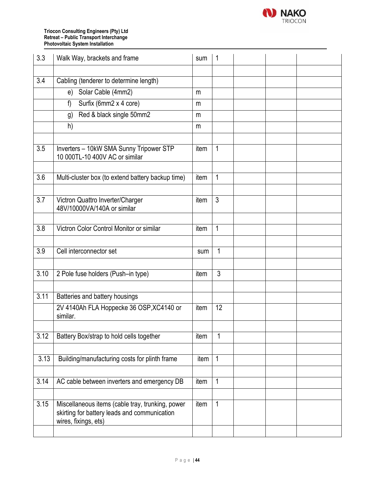

#### **Triocon Consulting Engineers (Pty) Ltd Retreat – Public Transport Interchange Photovoltaic System Installation**

| 3.3               | Walk Way, brackets and frame                                                                                             | sum  | $\overline{1}$ |  |  |
|-------------------|--------------------------------------------------------------------------------------------------------------------------|------|----------------|--|--|
|                   |                                                                                                                          |      |                |  |  |
| 3.4               | Cabling (tenderer to determine length)                                                                                   |      |                |  |  |
|                   | Solar Cable (4mm2)<br>e)                                                                                                 | m    |                |  |  |
|                   | Surfix (6mm2 x 4 core)<br>f)                                                                                             | m    |                |  |  |
|                   | Red & black single 50mm2<br>g)                                                                                           | m    |                |  |  |
|                   | h)                                                                                                                       | m    |                |  |  |
|                   |                                                                                                                          |      |                |  |  |
| 3.5               | Inverters - 10kW SMA Sunny Tripower STP<br>10 000TL-10 400V AC or similar                                                | item | $\overline{1}$ |  |  |
|                   |                                                                                                                          |      |                |  |  |
| 3.6               | Multi-cluster box (to extend battery backup time)                                                                        | item | $\mathbf{1}$   |  |  |
|                   |                                                                                                                          |      |                |  |  |
| $\overline{3.7}$  | Victron Quattro Inverter/Charger<br>48V/10000VA/140A or similar                                                          | item | $\mathfrak{Z}$ |  |  |
|                   |                                                                                                                          |      |                |  |  |
| 3.8               | Victron Color Control Monitor or similar                                                                                 | item | $\mathbf{1}$   |  |  |
|                   |                                                                                                                          |      |                |  |  |
| 3.9               | Cell interconnector set                                                                                                  | sum  | $\mathbf{1}$   |  |  |
|                   |                                                                                                                          |      |                |  |  |
| 3.10              | 2 Pole fuse holders (Push-in type)                                                                                       | item | 3              |  |  |
|                   |                                                                                                                          |      |                |  |  |
| 3.11              | Batteries and battery housings                                                                                           |      |                |  |  |
|                   | 2V 4140Ah FLA Hoppecke 36 OSP, XC4140 or<br>similar.                                                                     | item | 12             |  |  |
|                   |                                                                                                                          |      |                |  |  |
| $\overline{3.12}$ | Battery Box/strap to hold cells together                                                                                 | item | 1              |  |  |
|                   |                                                                                                                          |      |                |  |  |
| 3.13              | Building/manufacturing costs for plinth frame                                                                            | item | $\overline{1}$ |  |  |
|                   |                                                                                                                          |      |                |  |  |
| 3.14              | AC cable between inverters and emergency DB                                                                              | item | 1              |  |  |
|                   |                                                                                                                          |      |                |  |  |
| 3.15              | Miscellaneous items (cable tray, trunking, power<br>skirting for battery leads and communication<br>wires, fixings, ets) | item | $\mathbf{1}$   |  |  |
|                   |                                                                                                                          |      |                |  |  |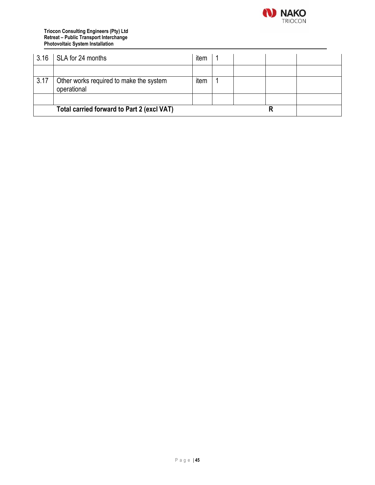

#### **Triocon Consulting Engineers (Pty) Ltd Retreat – Public Transport Interchange Photovoltaic System Installation**

| 3.16 | SLA for 24 months                                      | item |  |  |
|------|--------------------------------------------------------|------|--|--|
|      |                                                        |      |  |  |
| 3.17 | Other works required to make the system<br>operational | item |  |  |
|      |                                                        |      |  |  |
|      | Total carried forward to Part 2 (excl VAT)             |      |  |  |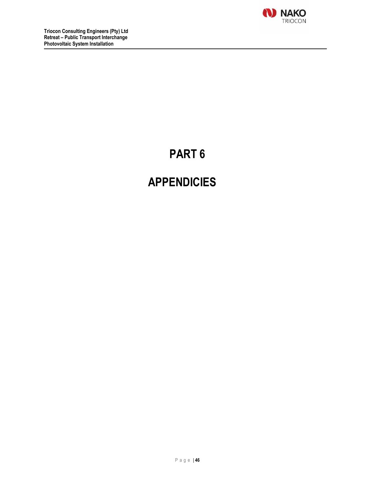

# **PART 6**

# **APPENDICIES**